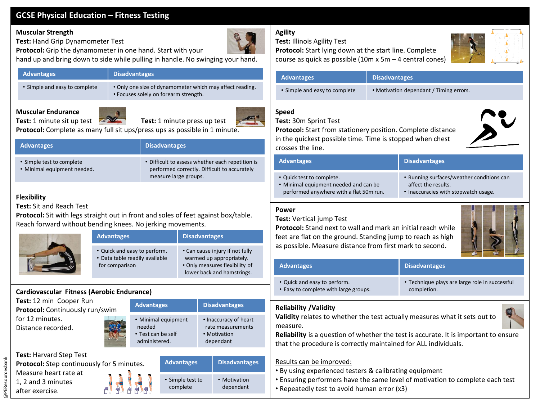# **GCSE Physical Education – Fitness Testing**

#### **Muscular Strength**

**Test:** Hand Grip Dynamometer Test

**Protocol:** Grip the dynamometer in one hand. Start with your

hand up and bring down to side while pulling in handle. No swinging your hand.

|                                                                                                                                                                                                                                                        | <b>Advantages</b><br><b>Disadvantages</b>                  |                                                                                  |                                                                                                   |                                                                                                                           |                                                                                                                             |                      |                                            | <b>Adv</b>                           |
|--------------------------------------------------------------------------------------------------------------------------------------------------------------------------------------------------------------------------------------------------------|------------------------------------------------------------|----------------------------------------------------------------------------------|---------------------------------------------------------------------------------------------------|---------------------------------------------------------------------------------------------------------------------------|-----------------------------------------------------------------------------------------------------------------------------|----------------------|--------------------------------------------|--------------------------------------|
|                                                                                                                                                                                                                                                        | · Simple and easy to complete                              |                                                                                  | . Only one size of dynamometer which may affect reading.<br>• Focuses solely on forearm strength. |                                                                                                                           |                                                                                                                             |                      |                                            | $\cdot$ Si                           |
| <b>Muscular Endurance</b><br>Test: 1 minute sit up test<br>Test: 1 minute press up test<br>Protocol: Complete as many full sit ups/press ups as possible in 1 minute.                                                                                  |                                                            |                                                                                  |                                                                                                   |                                                                                                                           |                                                                                                                             |                      |                                            | Spee<br>Test:<br>Prote               |
|                                                                                                                                                                                                                                                        | <b>Advantages</b>                                          | <b>Disadvantages</b>                                                             |                                                                                                   |                                                                                                                           |                                                                                                                             | in thi<br>cross      |                                            |                                      |
|                                                                                                                                                                                                                                                        | • Simple test to complete<br>· Minimal equipment needed.   |                                                                                  |                                                                                                   | • Difficult to assess whether each repetition is<br>performed correctly. Difficult to accurately<br>measure large groups. |                                                                                                                             |                      | Adv<br>$\cdot$ Qu                          |                                      |
| <b>Flexibility</b><br><b>Test: Sit and Reach Test</b><br>Protocol: Sit with legs straight out in front and soles of feet against box/table.<br>Reach forward without bending knees. No jerking movements.<br><b>Disadvantages</b><br><b>Advantages</b> |                                                            |                                                                                  |                                                                                                   |                                                                                                                           |                                                                                                                             |                      |                                            | <b>Pow</b><br>Test:<br>Prote<br>feet |
|                                                                                                                                                                                                                                                        |                                                            | • Quick and easy to perform.<br>· Data table readily available<br>for comparison |                                                                                                   |                                                                                                                           | • Can cause injury if not fully<br>warmed up appropriately.<br>. Only measures flexibility of<br>lower back and hamstrings. |                      |                                            | as po<br>Adv                         |
|                                                                                                                                                                                                                                                        | Cardiovascular Fitness (Aerobic Endurance)                 |                                                                                  |                                                                                                   |                                                                                                                           |                                                                                                                             |                      |                                            | • Qı<br>$\cdot$ Ea                   |
|                                                                                                                                                                                                                                                        | Test: 12 min Cooper Run<br>Protocol: Continuously run/swim |                                                                                  |                                                                                                   | <b>Advantages</b>                                                                                                         |                                                                                                                             | <b>Disadvantages</b> |                                            | Relia                                |
| for 12 minutes.<br>Distance recorded.                                                                                                                                                                                                                  |                                                            |                                                                                  | • Minimal equipment<br>needed<br>• Test can be self<br>administered.                              |                                                                                                                           | • Motivation<br>dependant                                                                                                   |                      | • Inaccuracy of heart<br>rate measurements | Valid<br>meas<br>Relia<br>that       |
| Test: Harvard Step Test<br><b>Disadvantages</b><br><b>Advantages</b><br>Protocol: Step continuously for 5 minutes.<br>Measure heart rate at                                                                                                            |                                                            |                                                                                  |                                                                                                   |                                                                                                                           |                                                                                                                             |                      |                                            | Resu<br>• By i                       |
|                                                                                                                                                                                                                                                        | 1, 2 and 3 minutes                                         |                                                                                  |                                                                                                   |                                                                                                                           | • Simple test to<br>complete                                                                                                |                      | • Motivation<br>dependant                  | • Ens<br>• Rer                       |

A T TJT

π. 5 O

### **Agility**

**Test:** Illinois Agility Test

**Protocol:** Start lying down at the start line. Complete course as quick as possible (10m x 5m – 4 central cones)



| <b>Disadvantages</b> |
|----------------------|

 $m$ ple and easy to complete  $\cdot$  Motivation dependant / Timing errors.

### **Speed**

**Test:** 30m Sprint Test

**A**antages

ocol: Start from stationery position. Complete distance e quickest possible time. Time is stopped when chest ses the line.



| <b>Advantages</b>                       | <b>Disadvantages</b>                      |
|-----------------------------------------|-------------------------------------------|
| • Quick test to complete.               | • Running surfaces/weather conditions can |
| • Minimal equipment needed and can be   | affect the results.                       |
| performed anywhere with a flat 50m run. | • Inaccuracies with stopwatch usage.      |

#### er

#### **Test:** Vertical jump Test

**pcol:** Stand next to wall and mark an initial reach while are flat on the ground. Standing jump to reach as high pssible. Measure distance from first mark to second.



| <b>Advantages</b>                                                     | <b>Disadvantages</b>                                          |  |  |
|-----------------------------------------------------------------------|---------------------------------------------------------------|--|--|
| • Quick and easy to perform.<br>• Easy to complete with large groups. | • Technique plays are large role in successful<br>completion. |  |  |
|                                                                       |                                                               |  |  |

## **Reliability /Validity**



**ability** is a question of whether the test is accurate. It is important to ensure the procedure is correctly maintained for ALL individuals.

## Ilts can be improved:

- using experienced testers & calibrating equipment
- suring performers have the same level of motivation to complete each test
- Repeatedly test to avoid human error (x3)